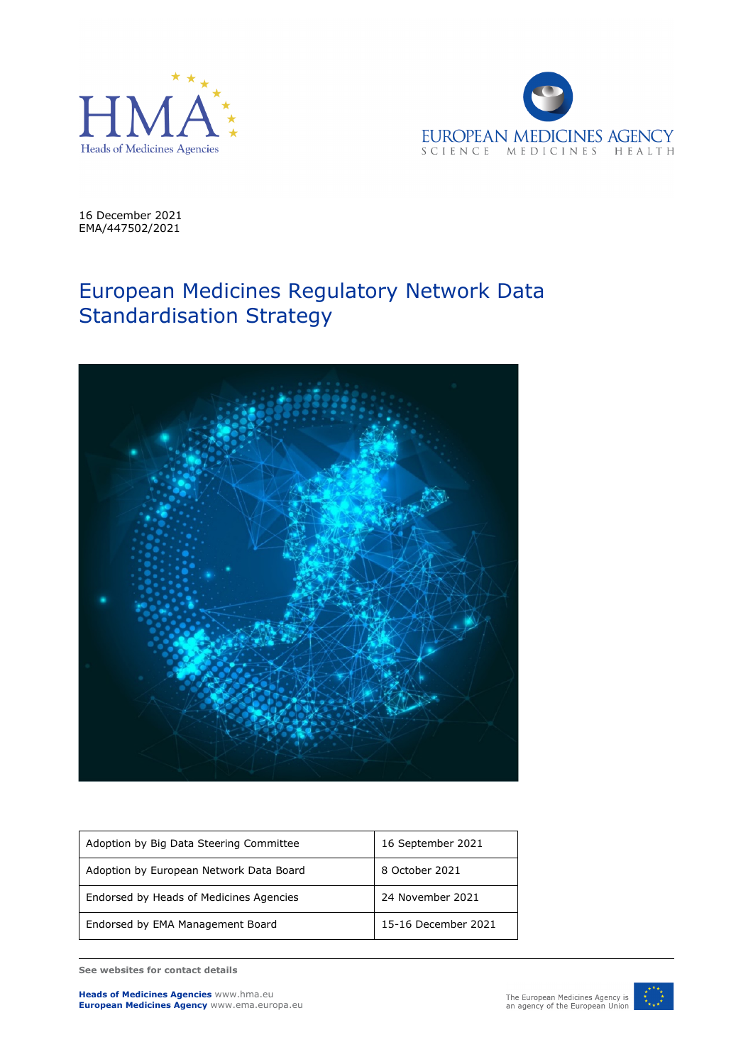



16 December 2021 EMA/447502/2021

## European Medicines Regulatory Network Data Standardisation Strategy



| Adoption by Big Data Steering Committee | 16 September 2021   |
|-----------------------------------------|---------------------|
| Adoption by European Network Data Board | 8 October 2021      |
| Endorsed by Heads of Medicines Agencies | 24 November 2021    |
| Endorsed by EMA Management Board        | 15-16 December 2021 |

**See websites for contact details**

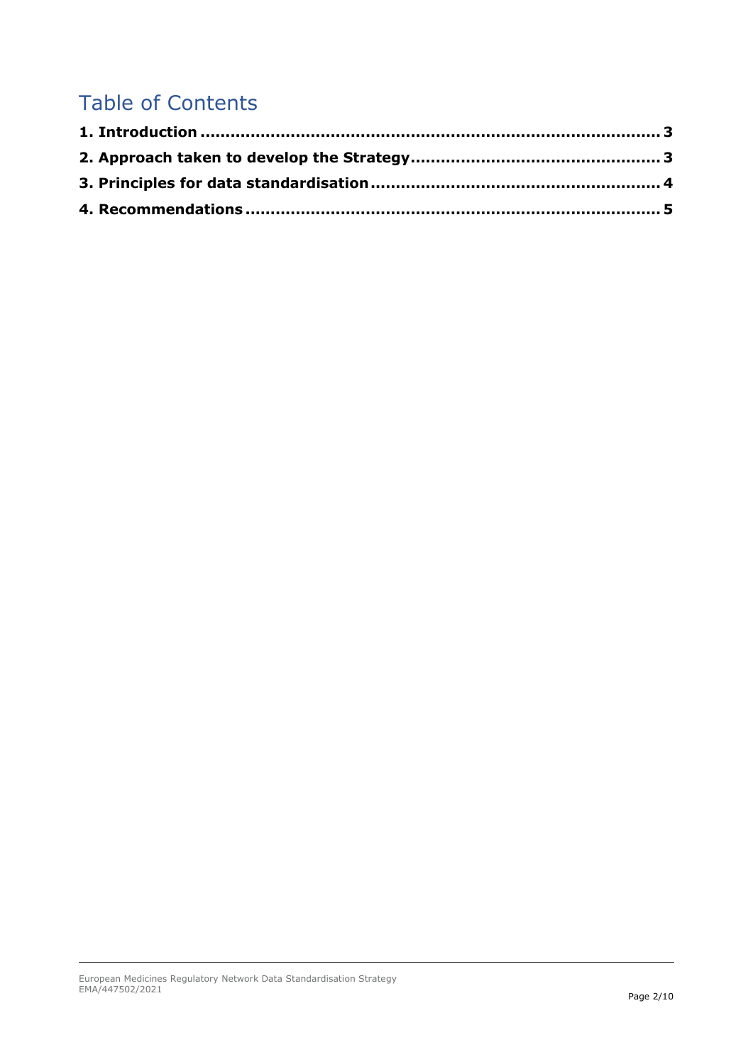# Table of Contents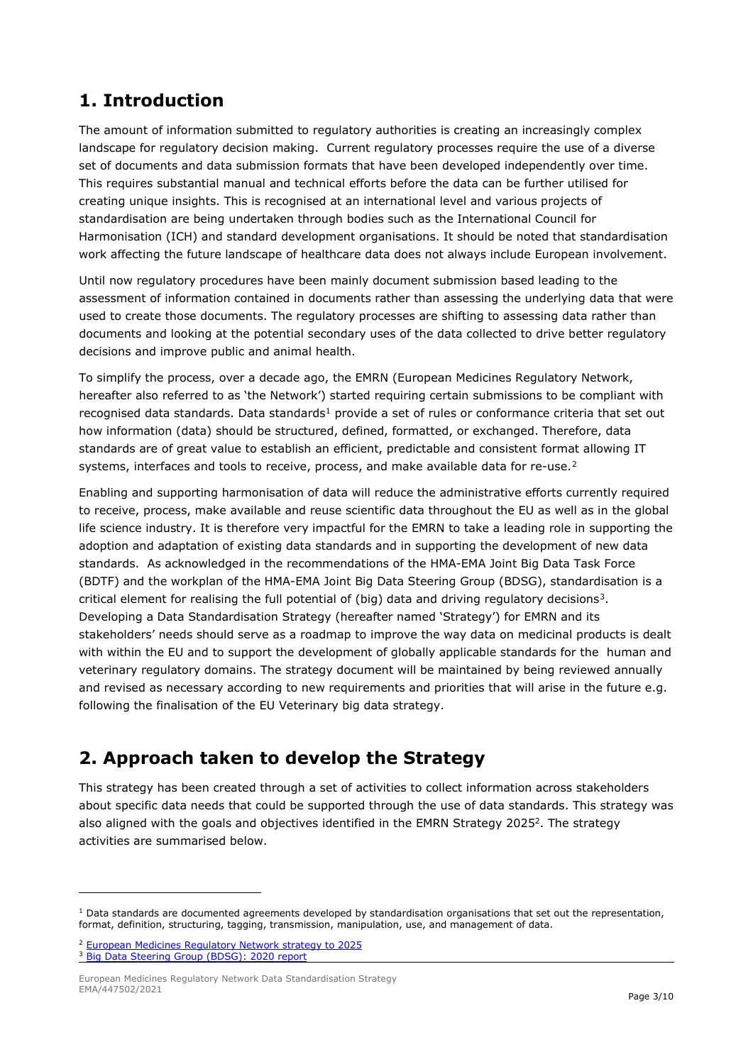#### <span id="page-2-0"></span>**1. Introduction**

The amount of information submitted to regulatory authorities is creating an increasingly complex landscape for regulatory decision making. Current regulatory processes require the use of a diverse set of documents and data submission formats that have been developed independently over time. This requires substantial manual and technical efforts before the data can be further utilised for creating unique insights. This is recognised at an international level and various projects of standardisation are being undertaken through bodies such as the International Council for Harmonisation (ICH) and standard development organisations. It should be noted that standardisation work affecting the future landscape of healthcare data does not always include European involvement.

Until now regulatory procedures have been mainly document submission based leading to the assessment of information contained in documents rather than assessing the underlying data that were used to create those documents. The regulatory processes are shifting to assessing data rather than documents and looking at the potential secondary uses of the data collected to drive better regulatory decisions and improve public and animal health.

To simplify the process, over a decade ago, the EMRN (European Medicines Regulatory Network, hereafter also referred to as 'the Network') started requiring certain submissions to be compliant with recognised data standards. Data standards<sup>[1](#page-2-3)</sup> provide a set of rules or conformance criteria that set out how information (data) should be structured, defined, formatted, or exchanged. Therefore, data standards are of great value to establish an efficient, predictable and consistent format allowing IT systems, interfaces and tools to receive, process, and make available data for re-use.<sup>[2](#page-2-4)</sup>

<span id="page-2-2"></span>Enabling and supporting harmonisation of data will reduce the administrative efforts currently required to receive, process, make available and reuse scientific data throughout the EU as well as in the global life science industry. It is therefore very impactful for the EMRN to take a leading role in supporting the adoption and adaptation of existing data standards and in supporting the development of new data standards. As acknowledged in the recommendations of the HMA-EMA Joint Big Data Task Force (BDTF) and the workplan of the HMA-EMA Joint Big Data Steering Group (BDSG), standardisation is a critical element for realising the full potential of (big) data and driving regulatory decisions<sup>3</sup>. Developing a Data Standardisation Strategy (hereafter named 'Strategy') for EMRN and its stakeholders' needs should serve as a roadmap to improve the way data on medicinal products is dealt with within the EU and to support the development of globally applicable standards for the human and veterinary regulatory domains. The strategy document will be maintained by being reviewed annually and revised as necessary according to new requirements and priorities that will arise in the future e.g. following the finalisation of the EU Veterinary big data strategy.

## <span id="page-2-1"></span>**2. Approach taken to develop the Strategy**

This strategy has been created through a set of activities to collect information across stakeholders about specific data needs that could be supported through the use of data standards. This strategy was also aligned with the goals and objectives identified in the EMRN Strategy 2025<sup>2</sup>. The strategy activities are summarised below.

<span id="page-2-3"></span> $1$  Data standards are documented agreements developed by standardisation organisations that set out the representation, format, definition, structuring, tagging, transmission, manipulation, use, and management of data.

<span id="page-2-5"></span><span id="page-2-4"></span><sup>2</sup> [European Medicines Regulatory Network strategy to 2025](https://www.ema.europa.eu/en/documents/report/european-union-medicines-agencies-network-strategy-2025-protecting-public-health-time-rapid-change_en.pdf) <sup>3</sup> [Big Data Steering Group \(BDSG\): 2020 report](https://www.ema.europa.eu/en/documents/report/big-data-steering-group-bdsg-2020-report_en.pdf)

European Medicines Regulatory Network Data Standardisation Strategy EMA/447502/2021 **Page 3/10**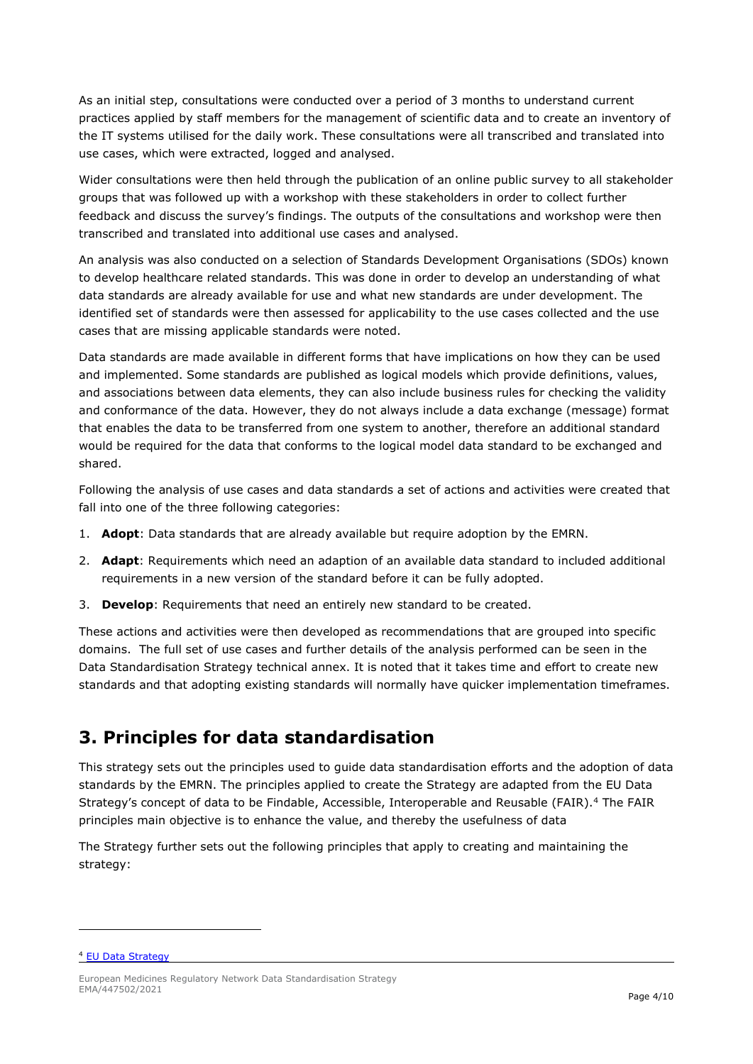As an initial step, consultations were conducted over a period of 3 months to understand current practices applied by staff members for the management of scientific data and to create an inventory of the IT systems utilised for the daily work. These consultations were all transcribed and translated into use cases, which were extracted, logged and analysed.

Wider consultations were then held through the publication of an online public survey to all stakeholder groups that was followed up with a workshop with these stakeholders in order to collect further feedback and discuss the survey's findings. The outputs of the consultations and workshop were then transcribed and translated into additional use cases and analysed.

An analysis was also conducted on a selection of Standards Development Organisations (SDOs) known to develop healthcare related standards. This was done in order to develop an understanding of what data standards are already available for use and what new standards are under development. The identified set of standards were then assessed for applicability to the use cases collected and the use cases that are missing applicable standards were noted.

Data standards are made available in different forms that have implications on how they can be used and implemented. Some standards are published as logical models which provide definitions, values, and associations between data elements, they can also include business rules for checking the validity and conformance of the data. However, they do not always include a data exchange (message) format that enables the data to be transferred from one system to another, therefore an additional standard would be required for the data that conforms to the logical model data standard to be exchanged and shared.

Following the analysis of use cases and data standards a set of actions and activities were created that fall into one of the three following categories:

- 1. **Adopt**: Data standards that are already available but require adoption by the EMRN.
- 2. **Adapt**: Requirements which need an adaption of an available data standard to included additional requirements in a new version of the standard before it can be fully adopted.
- 3. **Develop**: Requirements that need an entirely new standard to be created.

These actions and activities were then developed as recommendations that are grouped into specific domains. The full set of use cases and further details of the analysis performed can be seen in the Data Standardisation Strategy technical annex. It is noted that it takes time and effort to create new standards and that adopting existing standards will normally have quicker implementation timeframes.

#### <span id="page-3-0"></span>**3. Principles for data standardisation**

This strategy sets out the principles used to guide data standardisation efforts and the adoption of data standards by the EMRN. The principles applied to create the Strategy are adapted from the EU Data Strategy's concept of data to be Findable, Accessible, Interoperable and Reusable (FAIR)[.4](#page-3-1) The FAIR principles main objective is to enhance the value, and thereby the usefulness of data

The Strategy further sets out the following principles that apply to creating and maintaining the strategy:

<span id="page-3-1"></span><sup>4</sup> [EU Data Strategy](https://ec.europa.eu/info/strategy/priorities-2019-2024/europe-fit-digital-age/european-data-strategy_en)

European Medicines Regulatory Network Data Standardisation Strategy EMA/447502/2021 **Page 4/10**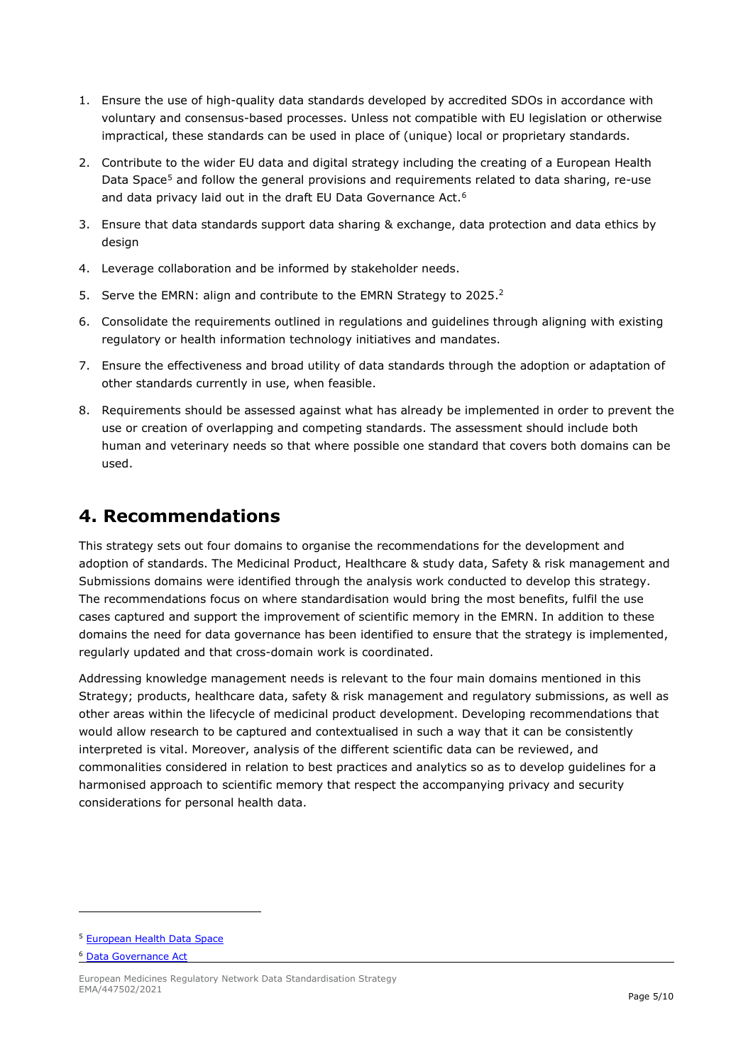- 1. Ensure the use of high-quality data standards developed by accredited SDOs in accordance with voluntary and consensus-based processes. Unless not compatible with EU legislation or otherwise impractical, these standards can be used in place of (unique) local or proprietary standards.
- 2. Contribute to the wider EU data and digital strategy including the creating of a European Health Data Space<sup>[5](#page-4-1)</sup> and follow the general provisions and requirements related to data sharing, re-use and data privacy laid out in the draft EU Data Governance Act.<sup>[6](#page-4-2)</sup>
- 3. Ensure that data standards support data sharing & exchange, data protection and data ethics by design
- 4. Leverage collaboration and be informed by stakeholder needs.
- 5. Serve the EMRN: align and contribute to the EMRN Strategy to 2025.<sup>2</sup>
- 6. Consolidate the requirements outlined in regulations and guidelines through aligning with existing regulatory or health information technology initiatives and mandates.
- 7. Ensure the effectiveness and broad utility of data standards through the adoption or adaptation of other standards currently in use, when feasible.
- 8. Requirements should be assessed against what has already be implemented in order to prevent the use or creation of overlapping and competing standards. The assessment should include both human and veterinary needs so that where possible one standard that covers both domains can be used.

#### <span id="page-4-0"></span>**4. Recommendations**

This strategy sets out four domains to organise the recommendations for the development and adoption of standards. The Medicinal Product, Healthcare & study data, Safety & risk management and Submissions domains were identified through the analysis work conducted to develop this strategy. The recommendations focus on where standardisation would bring the most benefits, fulfil the use cases captured and support the improvement of scientific memory in the EMRN. In addition to these domains the need for data governance has been identified to ensure that the strategy is implemented, regularly updated and that cross-domain work is coordinated.

Addressing knowledge management needs is relevant to the four main domains mentioned in this Strategy; products, healthcare data, safety & risk management and regulatory submissions, as well as other areas within the lifecycle of medicinal product development. Developing recommendations that would allow research to be captured and contextualised in such a way that it can be consistently interpreted is vital. Moreover, analysis of the different scientific data can be reviewed, and commonalities considered in relation to best practices and analytics so as to develop guidelines for a harmonised approach to scientific memory that respect the accompanying privacy and security considerations for personal health data.

<span id="page-4-1"></span><sup>5</sup> [European Health Data Space](https://ec.europa.eu/info/law/better-regulation/have-your-say/initiatives/12663-Digital-health-data-and-services-the-European-health-data-space_en)

<span id="page-4-2"></span><sup>6</sup> [Data Governance Act](https://eur-lex.europa.eu/legal-content/EN/TXT/?uri=CELEX%3A52020PC0767)

European Medicines Regulatory Network Data Standardisation Strategy EMA/447502/2021 **Page 5/10**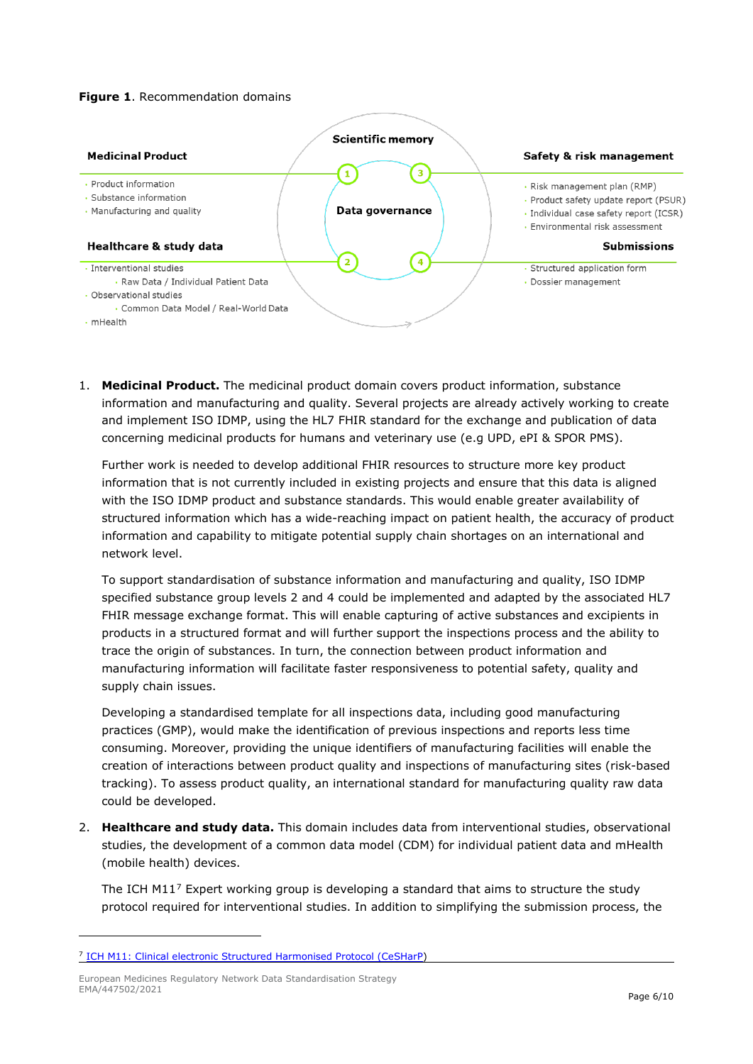#### **Figure 1**. Recommendation domains



1. **Medicinal Product.** The medicinal product domain covers product information, substance information and manufacturing and quality. Several projects are already actively working to create and implement ISO IDMP, using the HL7 FHIR standard for the exchange and publication of data concerning medicinal products for humans and veterinary use (e.g UPD, ePI & SPOR PMS).

Further work is needed to develop additional FHIR resources to structure more key product information that is not currently included in existing projects and ensure that this data is aligned with the ISO IDMP product and substance standards. This would enable greater availability of structured information which has a wide-reaching impact on patient health, the accuracy of product information and capability to mitigate potential supply chain shortages on an international and network level.

To support standardisation of substance information and manufacturing and quality, ISO IDMP specified substance group levels 2 and 4 could be implemented and adapted by the associated HL7 FHIR message exchange format. This will enable capturing of active substances and excipients in products in a structured format and will further support the inspections process and the ability to trace the origin of substances. In turn, the connection between product information and manufacturing information will facilitate faster responsiveness to potential safety, quality and supply chain issues.

Developing a standardised template for all inspections data, including good manufacturing practices (GMP), would make the identification of previous inspections and reports less time consuming. Moreover, providing the unique identifiers of manufacturing facilities will enable the creation of interactions between product quality and inspections of manufacturing sites (risk-based tracking). To assess product quality, an international standard for manufacturing quality raw data could be developed.

2. **Healthcare and study data.** This domain includes data from interventional studies, observational studies, the development of a common data model (CDM) for individual patient data and mHealth (mobile health) devices.

The ICH M11<sup>[7](#page-5-0)</sup> Expert working group is developing a standard that aims to structure the study protocol required for interventional studies. In addition to simplifying the submission process, the

<span id="page-5-0"></span><sup>7</sup> [ICH M11: Clinical electronic Structured Harmonised Protocol \(CeSHarP\)](https://database.ich.org/sites/default/files/M11_EWG_Concept_Paper.pdf)

European Medicines Regulatory Network Data Standardisation Strategy EMA/447502/2021 **Page 6/10**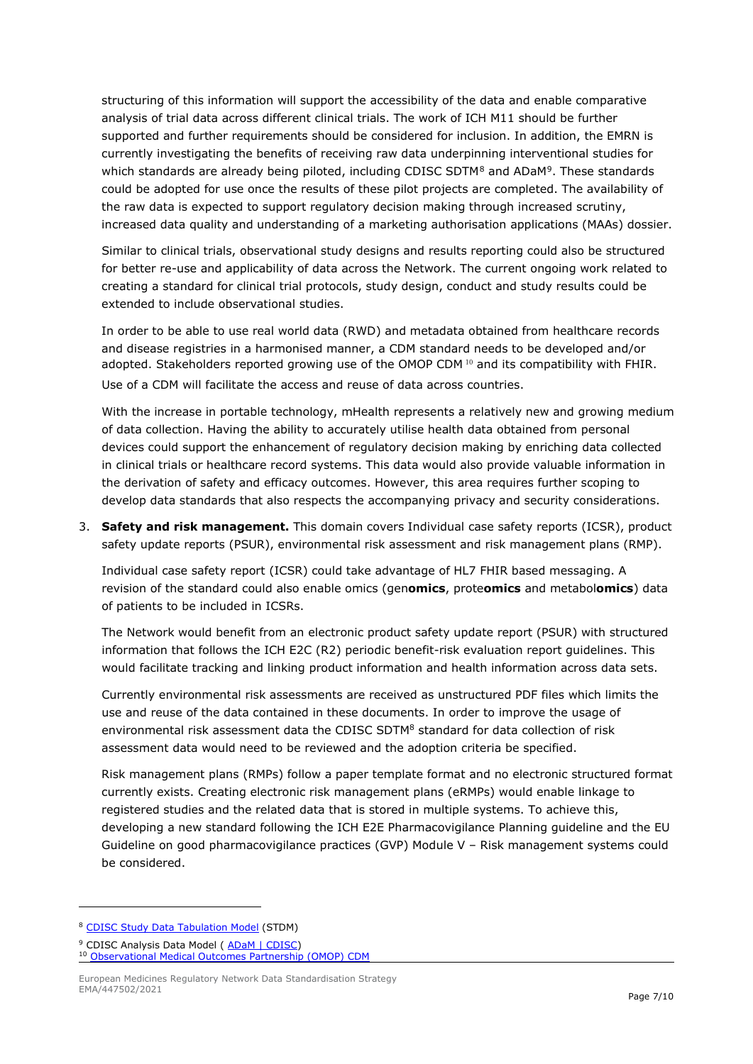<span id="page-6-0"></span>structuring of this information will support the accessibility of the data and enable comparative analysis of trial data across different clinical trials. The work of ICH M11 should be further supported and further requirements should be considered for inclusion. In addition, the EMRN is currently investigating the benefits of receiving raw data underpinning interventional studies for which standards are already being piloted, including CDISC SDTM<sup>[8](#page-6-1)</sup> and ADaM<sup>9</sup>. These standards could be adopted for use once the results of these pilot projects are completed. The availability of the raw data is expected to support regulatory decision making through increased scrutiny, increased data quality and understanding of a marketing authorisation applications (MAAs) dossier.

Similar to clinical trials, observational study designs and results reporting could also be structured for better re-use and applicability of data across the Network. The current ongoing work related to creating a standard for clinical trial protocols, study design, conduct and study results could be extended to include observational studies.

In order to be able to use real world data (RWD) and metadata obtained from healthcare records and disease registries in a harmonised manner, a CDM standard needs to be developed and/or adopted. Stakeholders reported growing use of the OMOP CDM [10](#page-6-3) and its compatibility with FHIR. Use of a CDM will facilitate the access and reuse of data across countries.

With the increase in portable technology, mHealth represents a relatively new and growing medium of data collection. Having the ability to accurately utilise health data obtained from personal devices could support the enhancement of regulatory decision making by enriching data collected in clinical trials or healthcare record systems. This data would also provide valuable information in the derivation of safety and efficacy outcomes. However, this area requires further scoping to develop data standards that also respects the accompanying privacy and security considerations.

3. **Safety and risk management.** This domain covers Individual case safety reports (ICSR), product safety update reports (PSUR), environmental risk assessment and risk management plans (RMP).

Individual case safety report (ICSR) could take advantage of HL7 FHIR based messaging. A revision of the standard could also enable omics (gen**omics**, prote**omics** and metabol**omics**) data of patients to be included in ICSRs.

The Network would benefit from an electronic product safety update report (PSUR) with structured information that follows the ICH E2C (R2) periodic benefit-risk evaluation report guidelines. This would facilitate tracking and linking product information and health information across data sets.

Currently environmental risk assessments are received as unstructured PDF files which limits the use and reuse of the data contained in these documents. In order to improve the usage of environmental risk assessment data the CDISC SDT[M8](#page-6-0) standard for data collection of risk assessment data would need to be reviewed and the adoption criteria be specified.

Risk management plans (RMPs) follow a paper template format and no electronic structured format currently exists. Creating electronic risk management plans (eRMPs) would enable linkage to registered studies and the related data that is stored in multiple systems. To achieve this, developing a new standard following the ICH E2E Pharmacovigilance Planning guideline and the EU Guideline on good pharmacovigilance practices (GVP) Module V – Risk management systems could be considered.

<span id="page-6-1"></span><sup>8</sup> [CDISC Study Data Tabulation Model](https://www.cdisc.org/standards/foundational/sdtm) (STDM)

<span id="page-6-3"></span><span id="page-6-2"></span><sup>&</sup>lt;sup>9</sup> CDISC Analysis Data Model ( [ADaM | CDISC\)](https://www.cdisc.org/standards/foundational/adam) <sup>10</sup> [Observational Medical Outcomes Partnership \(OMOP\) CDM](https://www.ohdsi.org/data-standardization/the-common-data-model/)

European Medicines Regulatory Network Data Standardisation Strategy EMA/447502/2021 **Page 7/10**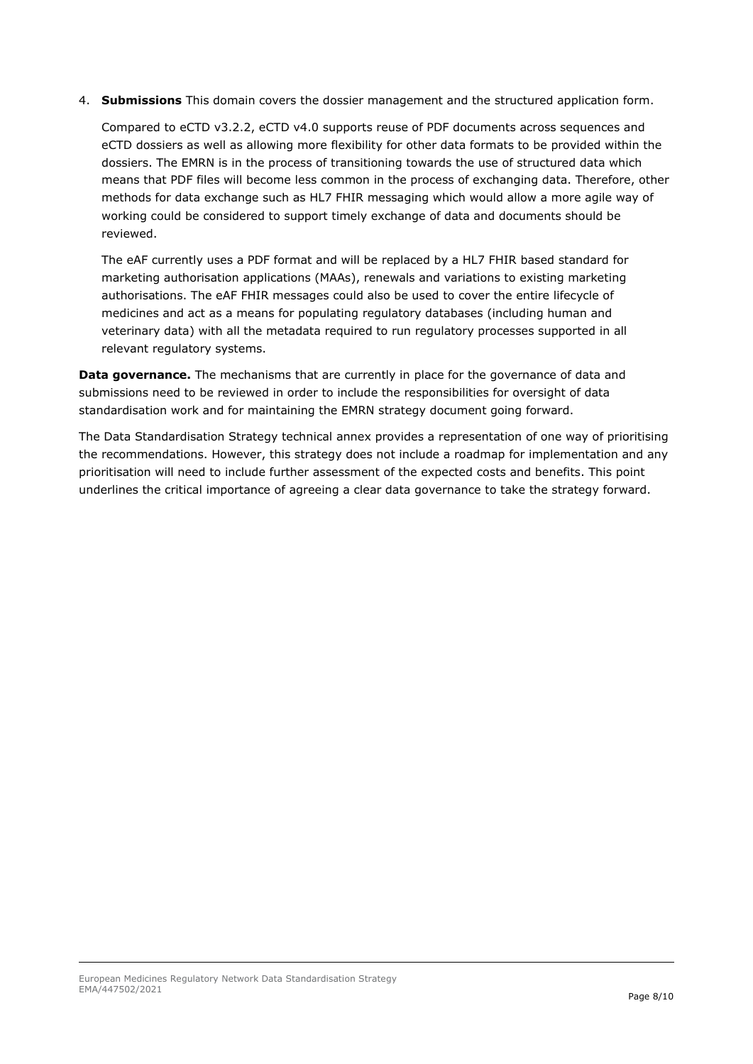4. **Submissions** This domain covers the dossier management and the structured application form.

Compared to eCTD v3.2.2, eCTD v4.0 supports reuse of PDF documents across sequences and eCTD dossiers as well as allowing more flexibility for other data formats to be provided within the dossiers. The EMRN is in the process of transitioning towards the use of structured data which means that PDF files will become less common in the process of exchanging data. Therefore, other methods for data exchange such as HL7 FHIR messaging which would allow a more agile way of working could be considered to support timely exchange of data and documents should be reviewed.

The eAF currently uses a PDF format and will be replaced by a HL7 FHIR based standard for marketing authorisation applications (MAAs), renewals and variations to existing marketing authorisations. The eAF FHIR messages could also be used to cover the entire lifecycle of medicines and act as a means for populating regulatory databases (including human and veterinary data) with all the metadata required to run regulatory processes supported in all relevant regulatory systems.

**Data governance.** The mechanisms that are currently in place for the governance of data and submissions need to be reviewed in order to include the responsibilities for oversight of data standardisation work and for maintaining the EMRN strategy document going forward.

The Data Standardisation Strategy technical annex provides a representation of one way of prioritising the recommendations. However, this strategy does not include a roadmap for implementation and any prioritisation will need to include further assessment of the expected costs and benefits. This point underlines the critical importance of agreeing a clear data governance to take the strategy forward.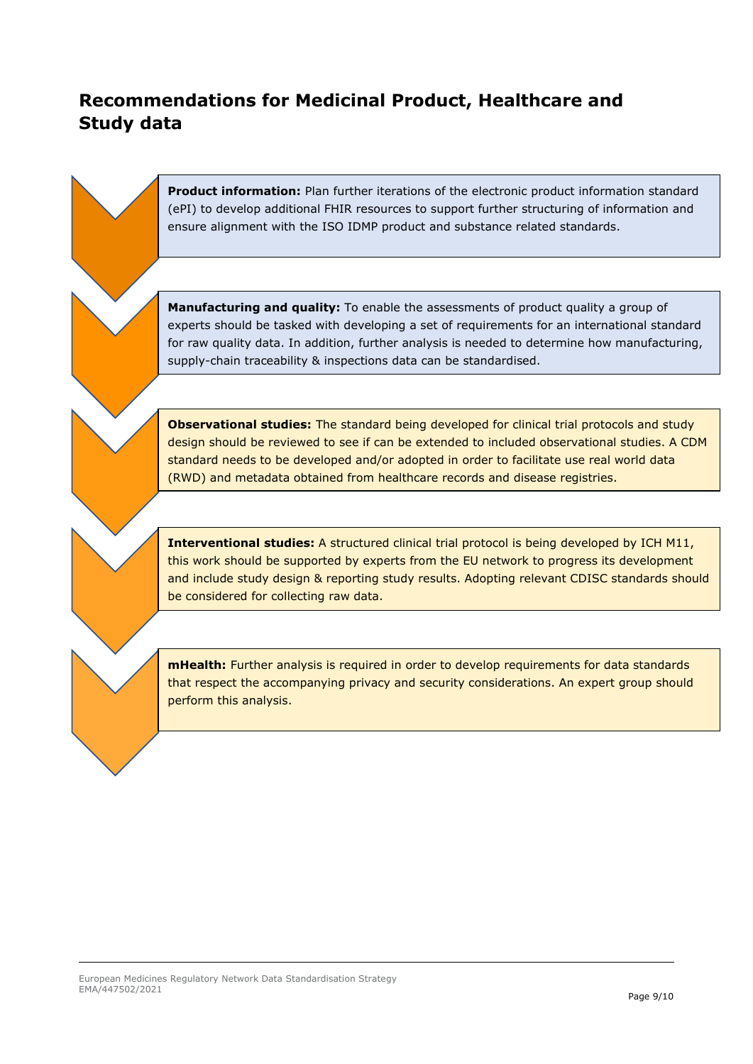### **Recommendations for Medicinal Product, Healthcare and Study data**